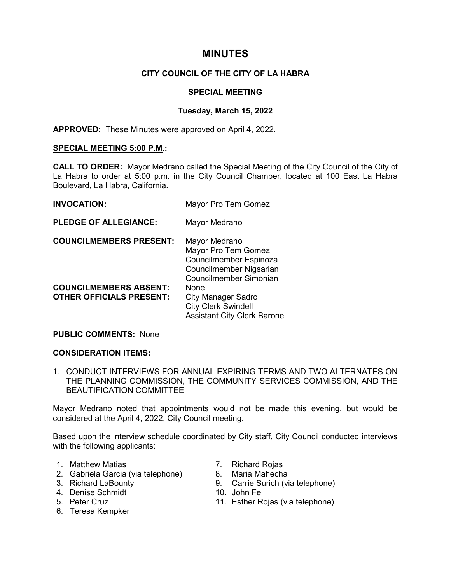# **MINUTES**

# **CITY COUNCIL OF THE CITY OF LA HABRA**

## **SPECIAL MEETING**

## **Tuesday, March 15, 2022**

**APPROVED:** These Minutes were approved on April 4, 2022.

### **SPECIAL MEETING 5:00 P.M.:**

**CALL TO ORDER:** Mayor Medrano called the Special Meeting of the City Council of the City of La Habra to order at 5:00 p.m. in the City Council Chamber, located at 100 East La Habra Boulevard, La Habra, California.

| <b>INVOCATION:</b>                                               | Mayor Pro Tem Gomez                                                                                                 |
|------------------------------------------------------------------|---------------------------------------------------------------------------------------------------------------------|
| <b>PLEDGE OF ALLEGIANCE:</b>                                     | Mayor Medrano                                                                                                       |
| <b>COUNCILMEMBERS PRESENT:</b>                                   | Mayor Medrano<br>Mayor Pro Tem Gomez<br>Councilmember Espinoza<br>Councilmember Nigsarian<br>Councilmember Simonian |
| <b>COUNCILMEMBERS ABSENT:</b><br><b>OTHER OFFICIALS PRESENT:</b> | None<br><b>City Manager Sadro</b><br><b>City Clerk Swindell</b><br><b>Assistant City Clerk Barone</b>               |

#### **PUBLIC COMMENTS:** None

## **CONSIDERATION ITEMS:**

1. CONDUCT INTERVIEWS FOR ANNUAL EXPIRING TERMS AND TWO ALTERNATES ON THE PLANNING COMMISSION, THE COMMUNITY SERVICES COMMISSION, AND THE BEAUTIFICATION COMMITTEE

Mayor Medrano noted that appointments would not be made this evening, but would be considered at the April 4, 2022, City Council meeting.

Based upon the interview schedule coordinated by City staff, City Council conducted interviews with the following applicants:

- 
- 1. Matthew Matias 1. Richard Rojas<br>2. Gabriela Garcia (via telephone) 8. Maria Mahecha 2. Gabriela Garcia (via telephone)<br>3. Richard LaBounty
- 
- 4. Denise Schmidt
- 5. Peter Cruz
- 6. Teresa Kempker
- 
- 
- 9. Carrie Surich (via telephone)<br>10. John Fei
- 
- 11. Esther Rojas (via telephone)